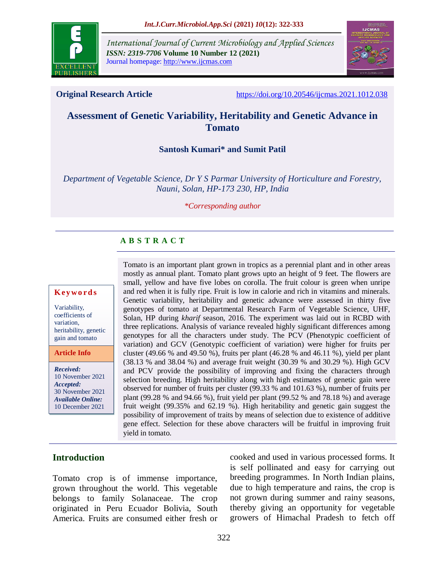

*International Journal of Current Microbiology and Applied Sciences ISSN: 2319-7706* **Volume 10 Number 12 (2021)**  Journal homepage: http://www.ijcmas.com



**Original Research Article** <https://doi.org/10.20546/ijcmas.2021.1012.038>

# **Assessment of Genetic Variability, Heritability and Genetic Advance in Tomato**

#### **Santosh Kumari\* and Sumit Patil**

*Department of Vegetable Science, Dr Y S Parmar University of Horticulture and Forestry, Nauni, Solan, HP-173 230, HP, India*

#### *\*Corresponding author*

## **A B S T R A C T**

#### **K ey w o rd s**

Variability, coefficients of variation, heritability, genetic gain and tomato

**Article Info**

*Received:*  10 November 2021 *Accepted:*  30 November 2021 *Available Online:* 10 December 2021

Tomato is an important plant grown in tropics as a perennial plant and in other areas mostly as annual plant. Tomato plant grows upto an height of 9 feet. The flowers are small, yellow and have five lobes on corolla. The fruit colour is green when unripe and red when it is fully ripe. Fruit is low in calorie and rich in vitamins and minerals. Genetic variability, heritability and genetic advance were assessed in thirty five genotypes of tomato at Departmental Research Farm of Vegetable Science, UHF, Solan, HP during *kharif* season, 2016. The experiment was laid out in RCBD with three replications. Analysis of variance revealed highly significant differences among genotypes for all the characters under study. The PCV (Phenotypic coefficient of variation) and GCV (Genotypic coefficient of variation) were higher for fruits per cluster (49.66 % and 49.50 %), fruits per plant (46.28 % and 46.11 %), yield per plant (38.13 % and 38.04 %) and average fruit weight (30.39 % and 30.29 %). High GCV and PCV provide the possibility of improving and fixing the characters through selection breeding. High heritability along with high estimates of genetic gain were observed for number of fruits per cluster (99.33 % and 101.63 %), number of fruits per plant (99.28 % and 94.66 %), fruit yield per plant (99.52 % and 78.18 %) and average fruit weight (99.35% and 62.19 %). High heritability and genetic gain suggest the possibility of improvement of traits by means of selection due to existence of additive gene effect. Selection for these above characters will be fruitful in improving fruit yield in tomato.

## **Introduction**

Tomato crop is of immense importance, grown throughout the world. This vegetable belongs to family Solanaceae. The crop originated in Peru Ecuador Bolivia, South America. Fruits are consumed either fresh or

cooked and used in various processed forms. It is self pollinated and easy for carrying out breeding programmes. In North Indian plains, due to high temperature and rains, the crop is not grown during summer and rainy seasons, thereby giving an opportunity for vegetable growers of Himachal Pradesh to fetch off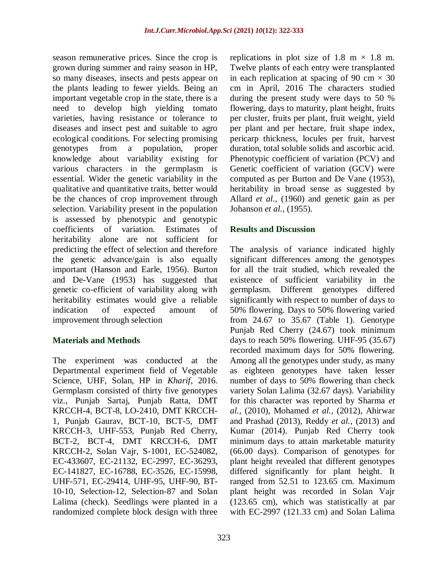season remunerative prices. Since the crop is grown during summer and rainy season in HP, so many diseases, insects and pests appear on the plants leading to fewer yields. Being an important vegetable crop in the state, there is a need to develop high yielding tomato varieties, having resistance or tolerance to diseases and insect pest and suitable to agro ecological conditions. For selecting promising genotypes from a population, proper knowledge about variability existing for various characters in the germplasm is essential. Wider the genetic variability in the qualitative and quantitative traits, better would be the chances of crop improvement through selection. Variability present in the population is assessed by phenotypic and genotypic coefficients of variation. Estimates of heritability alone are not sufficient for predicting the effect of selection and therefore the genetic advance/gain is also equally important (Hanson and Earle, 1956). Burton and De-Vane (1953) has suggested that genetic co-efficient of variability along with heritability estimates would give a reliable indication of expected amount of improvement through selection

## **Materials and Methods**

The experiment was conducted at the Departmental experiment field of Vegetable Science, UHF, Solan, HP in *Kharif*, 2016. Germplasm consisted of thirty five genotypes viz., Punjab Sartaj, Punjab Ratta, DMT KRCCH-4, BCT-8, LO-2410, DMT KRCCH-1, Punjab Gaurav, BCT-10, BCT-5, DMT KRCCH-3, UHF-553, Punjab Red Cherry, BCT-2, BCT-4, DMT KRCCH-6, DMT KRCCH-2, Solan Vajr, S-1001, EC-524082, EC-433607, EC-21132, EC-2997, EC-36293, EC-141827, EC-16788, EC-3526, EC-15998, UHF-571, EC-29414, UHF-95, UHF-90, BT-10-10, Selection-12, Selection-87 and Solan Lalima (check). Seedlings were planted in a randomized complete block design with three

replications in plot size of 1.8 m  $\times$  1.8 m. Twelve plants of each entry were transplanted in each replication at spacing of 90 cm  $\times$  30 cm in April, 2016 The characters studied during the present study were days to 50 % flowering, days to maturity, plant height, fruits per cluster, fruits per plant, fruit weight, yield per plant and per hectare, fruit shape index, pericarp thickness, locules per fruit, harvest duration, total soluble solids and ascorbic acid. Phenotypic coefficient of variation (PCV) and Genetic coefficient of variation (GCV) were computed as per Burton and De Vane (1953), heritability in broad sense as suggested by Allard *et al.,* (1960) and genetic gain as per Johanson *et al.,* (1955).

## **Results and Discussion**

The analysis of variance indicated highly significant differences among the genotypes for all the trait studied, which revealed the existence of sufficient variability in the germplasm. Different genotypes differed significantly with respect to number of days to 50% flowering. Days to 50% flowering varied from 24.67 to 35.67 (Table 1). Genotype Punjab Red Cherry (24.67) took minimum days to reach 50% flowering. UHF-95 (35.67) recorded maximum days for 50% flowering. Among all the genotypes under study, as many as eighteen genotypes have taken lesser number of days to 50% flowering than check variety Solan Lalima (32.67 days). Variability for this character was reported by Sharma *et al.,* (2010), Mohamed *et al.,* (2012), Ahirwar and Prashad (2013), Reddy *et al.,* (2013) and Kumar (2014). Punjab Red Cherry took minimum days to attain marketable maturity (66.00 days). Comparison of genotypes for plant height revealed that different genotypes differed significantly for plant height. It ranged from 52.51 to 123.65 cm. Maximum plant height was recorded in Solan Vajr (123.65 cm), which was statistically at par with EC-2997 (121.33 cm) and Solan Lalima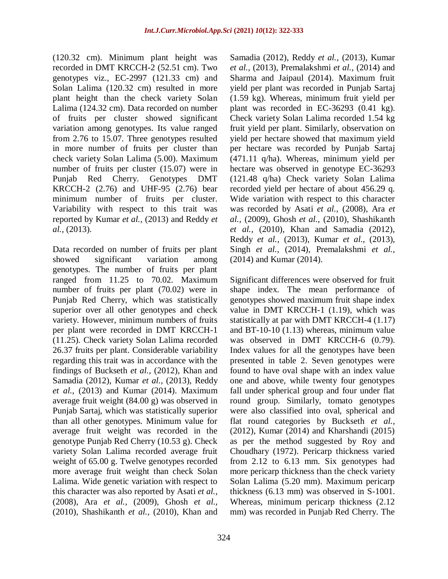(120.32 cm). Minimum plant height was recorded in DMT KRCCH-2 (52.51 cm). Two genotypes viz., EC-2997 (121.33 cm) and Solan Lalima (120.32 cm) resulted in more plant height than the check variety Solan Lalima (124.32 cm). Data recorded on number of fruits per cluster showed significant variation among genotypes. Its value ranged from 2.76 to 15.07. Three genotypes resulted in more number of fruits per cluster than check variety Solan Lalima (5.00). Maximum number of fruits per cluster (15.07) were in Punjab Red Cherry. Genotypes DMT KRCCH-2 (2.76) and UHF-95 (2.76) bear minimum number of fruits per cluster. Variability with respect to this trait was reported by Kumar *et al.,* (2013) and Reddy *et al.,* (2013).

Data recorded on number of fruits per plant showed significant variation among genotypes. The number of fruits per plant ranged from 11.25 to 70.02. Maximum number of fruits per plant (70.02) were in Punjab Red Cherry, which was statistically superior over all other genotypes and check variety. However, minimum numbers of fruits per plant were recorded in DMT KRCCH-1 (11.25). Check variety Solan Lalima recorded 26.37 fruits per plant. Considerable variability regarding this trait was in accordance with the findings of Buckseth *et al.,* (2012), Khan and Samadia (2012), Kumar *et al.,* (2013), Reddy *et al.,* (2013) and Kumar (2014). Maximum average fruit weight (84.00 g) was observed in Punjab Sartaj, which was statistically superior than all other genotypes. Minimum value for average fruit weight was recorded in the genotype Punjab Red Cherry (10.53 g). Check variety Solan Lalima recorded average fruit weight of 65.00 g. Twelve genotypes recorded more average fruit weight than check Solan Lalima. Wide genetic variation with respect to this character was also reported by Asati *et al.,* (2008), Ara *et al.,* (2009), Ghosh *et al.,* (2010), Shashikanth *et al.,* (2010), Khan and

Samadia (2012), Reddy *et al.,* (2013), Kumar *et al.,* (2013), Premalakshmi *et al.,* (2014) and Sharma and Jaipaul (2014). Maximum fruit yield per plant was recorded in Punjab Sartaj (1.59 kg). Whereas, minimum fruit yield per plant was recorded in EC-36293 (0.41 kg). Check variety Solan Lalima recorded 1.54 kg fruit yield per plant. Similarly, observation on yield per hectare showed that maximum yield per hectare was recorded by Punjab Sartaj (471.11 q/ha). Whereas, minimum yield per hectare was observed in genotype EC-36293 (121.48 q/ha) Check variety Solan Lalima recorded yield per hectare of about 456.29 q. Wide variation with respect to this character was recorded by Asati *et al.,* (2008), Ara *et al.,* (2009), Ghosh *et al.,* (2010), Shashikanth *et al.,* (2010), Khan and Samadia (2012), Reddy *et al.,* (2013), Kumar *et al.,* (2013), Singh *et al.,* (2014), Premalakshmi *et al.,* (2014) and Kumar (2014).

Significant differences were observed for fruit shape index. The mean performance of genotypes showed maximum fruit shape index value in DMT KRCCH-1 (1.19), which was statistically at par with DMT KRCCH-4 (1.17) and BT-10-10 (1.13) whereas, minimum value was observed in DMT KRCCH-6 (0.79). Index values for all the genotypes have been presented in table 2. Seven genotypes were found to have oval shape with an index value one and above, while twenty four genotypes fall under spherical group and four under flat round group. Similarly, tomato genotypes were also classified into oval, spherical and flat round categories by Buckseth *et al.,* (2012), Kumar (2014) and Kharshandi (2015) as per the method suggested by Roy and Choudhary (1972). Pericarp thickness varied from 2.12 to 6.13 mm. Six genotypes had more pericarp thickness than the check variety Solan Lalima (5.20 mm). Maximum pericarp thickness (6.13 mm) was observed in S-1001. Whereas, minimum pericarp thickness (2.12 mm) was recorded in Punjab Red Cherry. The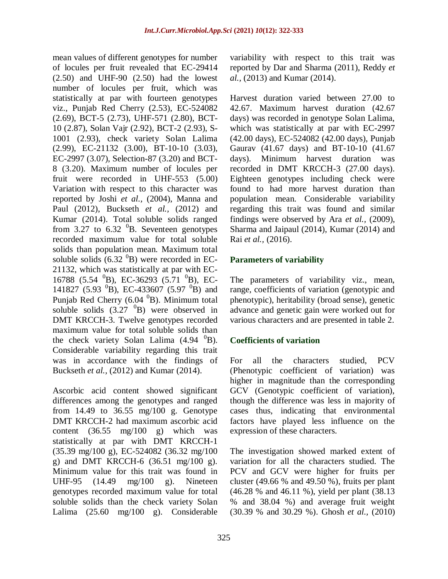mean values of different genotypes for number of locules per fruit revealed that EC-29414 (2.50) and UHF-90 (2.50) had the lowest number of locules per fruit, which was statistically at par with fourteen genotypes viz., Punjab Red Cherry (2.53), EC-524082 (2.69), BCT-5 (2.73), UHF-571 (2.80), BCT-10 (2.87), Solan Vajr (2.92), BCT-2 (2.93), S-1001 (2.93), check variety Solan Lalima (2.99), EC-21132 (3.00), BT-10-10 (3.03), EC-2997 (3.07), Selection-87 (3.20) and BCT-8 (3.20). Maximum number of locules per fruit were recorded in UHF-553 (5.00) Variation with respect to this character was reported by Joshi *et al.,* (2004), Manna and Paul (2012), Buckseth *et al.,* (2012) and Kumar (2014). Total soluble solids ranged from 3.27 to 6.32  $^{0}$ B. Seventeen genotypes recorded maximum value for total soluble solids than population mean. Maximum total soluble solids  $(6.32 \text{ }^{0}B)$  were recorded in EC-21132, which was statistically at par with EC-16788 (5.54  $^{0}$ B), EC-36293 (5.71  $^{0}$ B), EC-141827 (5.93  $^{0}$ B), EC-433607 (5.97  $^{0}$ B) and Punjab Red Cherry (6.04 <sup>0</sup>B). Minimum total soluble solids  $(3.27 \text{ }^{0}B)$  were observed in DMT KRCCH-3. Twelve genotypes recorded maximum value for total soluble solids than the check variety Solan Lalima  $(4.94 \text{ }^{0}B)$ . Considerable variability regarding this trait was in accordance with the findings of Buckseth *et al.,* (2012) and Kumar (2014).

Ascorbic acid content showed significant differences among the genotypes and ranged from 14.49 to 36.55 mg/100 g. Genotype DMT KRCCH-2 had maximum ascorbic acid content  $(36.55 \text{ mg}/100 \text{ g})$  which was statistically at par with DMT KRCCH-1 (35.39 mg/100 g), EC-524082 (36.32 mg/100 g) and DMT KRCCH-6 (36.51 mg/100 g). Minimum value for this trait was found in UHF-95 (14.49 mg/100 g). Nineteen genotypes recorded maximum value for total soluble solids than the check variety Solan Lalima (25.60 mg/100 g). Considerable

variability with respect to this trait was reported by Dar and Sharma (2011), Reddy *et al.,* (2013) and Kumar (2014).

Harvest duration varied between 27.00 to 42.67. Maximum harvest duration (42.67 days) was recorded in genotype Solan Lalima, which was statistically at par with EC-2997 (42.00 days), EC-524082 (42.00 days), Punjab Gaurav (41.67 days) and BT-10-10 (41.67 days). Minimum harvest duration was recorded in DMT KRCCH-3 (27.00 days). Eighteen genotypes including check were found to had more harvest duration than population mean. Considerable variability regarding this trait was found and similar findings were observed by Ara *et al.,* (2009), Sharma and Jaipaul (2014), Kumar (2014) and Rai *et al.,* (2016).

# **Parameters of variability**

The parameters of variability viz., mean, range, coefficients of variation (genotypic and phenotypic), heritability (broad sense), genetic advance and genetic gain were worked out for various characters and are presented in table 2.

# **Coefficients of variation**

For all the characters studied, PCV (Phenotypic coefficient of variation) was higher in magnitude than the corresponding GCV (Genotypic coefficient of variation), though the difference was less in majority of cases thus, indicating that environmental factors have played less influence on the expression of these characters.

The investigation showed marked extent of variation for all the characters studied. The PCV and GCV were higher for fruits per cluster (49.66  $%$  and 49.50  $%$ ), fruits per plant (46.28 % and 46.11 %), yield per plant (38.13 % and 38.04 %) and average fruit weight (30.39 % and 30.29 %). Ghosh *et al.,* (2010)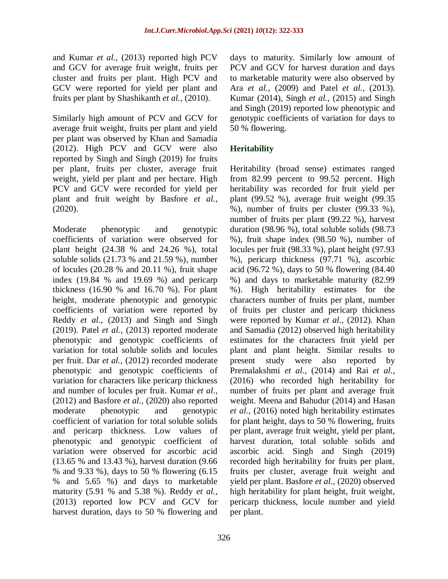and Kumar *et al.,* (2013) reported high PCV and GCV for average fruit weight, fruits per cluster and fruits per plant. High PCV and GCV were reported for yield per plant and fruits per plant by Shashikanth *et al.,* (2010).

Similarly high amount of PCV and GCV for average fruit weight, fruits per plant and yield per plant was observed by Khan and Samadia (2012). High PCV and GCV were also reported by Singh and Singh (2019) for fruits per plant, fruits per cluster, average fruit weight, yield per plant and per hectare. High PCV and GCV were recorded for yield per plant and fruit weight by Basfore *et al.,* (2020).

Moderate phenotypic and genotypic coefficients of variation were observed for plant height (24.38 % and 24.26 %), total soluble solids (21.73 % and 21.59 %), number of locules (20.28 % and 20.11 %), fruit shape index (19.84 % and 19.69 %) and pericarp thickness (16.90 % and 16.70 %). For plant height, moderate phenotypic and genotypic coefficients of variation were reported by Reddy *et al.,* (2013) and Singh and Singh (2019). Patel *et al.,* (2013) reported moderate phenotypic and genotypic coefficients of variation for total soluble solids and locules per fruit. Dar *et al.,* (2012) recorded moderate phenotypic and genotypic coefficients of variation for characters like pericarp thickness and number of locules per fruit. Kumar *et al.,* (2012) and Basfore *et al.,* (2020) also reported moderate phenotypic and genotypic coefficient of variation for total soluble solids and pericarp thickness. Low values of phenotypic and genotypic coefficient of variation were observed for ascorbic acid (13.65 % and 13.43 %), harvest duration (9.66 % and 9.33 %), days to 50 % flowering (6.15 % and 5.65 %) and days to marketable maturity (5.91 % and 5.38 %). Reddy *et al.,* (2013) reported low PCV and GCV for harvest duration, days to 50 % flowering and

days to maturity. Similarly low amount of PCV and GCV for harvest duration and days to marketable maturity were also observed by Ara *et al.,* (2009) and Patel *et al.,* (2013). Kumar (2014), Singh *et al.,* (2015) and Singh and Singh (2019) reported low phenotypic and genotypic coefficients of variation for days to 50 % flowering.

# **Heritability**

Heritability (broad sense) estimates ranged from 82.99 percent to 99.52 percent. High heritability was recorded for fruit yield per plant (99.52 %), average fruit weight (99.35 %), number of fruits per cluster (99.33 %), number of fruits per plant (99.22 %), harvest duration (98.96 %), total soluble solids (98.73 %), fruit shape index (98.50 %), number of locules per fruit (98.33 %), plant height (97.93 %), pericarp thickness (97.71 %), ascorbic acid (96.72 %), days to 50 % flowering (84.40 %) and days to marketable maturity (82.99 %). High heritability estimates for the characters number of fruits per plant, number of fruits per cluster and pericarp thickness were reported by Kumar *et al.,* (2012). Khan and Samadia (2012) observed high heritability estimates for the characters fruit yield per plant and plant height. Similar results to present study were also reported by Premalakshmi *et al.,* (2014) and Rai *et al.,* (2016) who recorded high heritability for number of fruits per plant and average fruit weight. Meena and Bahudur (2014) and Hasan *et al.,* (2016) noted high heritability estimates for plant height, days to 50 % flowering, fruits per plant, average fruit weight, yield per plant, harvest duration, total soluble solids and ascorbic acid. Singh and Singh (2019) recorded high heritability for fruits per plant, fruits per cluster, average fruit weight and yield per plant. Basfore *et al.,* (2020) observed high heritability for plant height, fruit weight, pericarp thickness, locule number and yield per plant.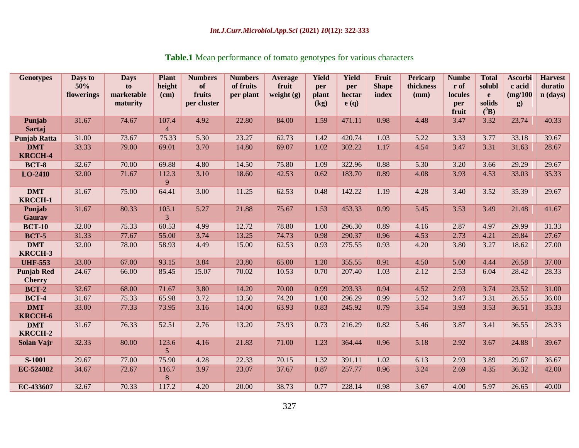## *Int.J.Curr.Microbiol.App.Sci* **(2021)** *10***(12): 322-333**

| <b>Genotypes</b>                   | Days to<br>50%<br>flowerings | <b>Days</b><br>to<br>marketable<br>maturity | <b>Plant</b><br>height<br>(cm) | <b>Numbers</b><br>of<br>fruits<br>per cluster | <b>Numbers</b><br>of fruits<br>per plant | Average<br>fruit<br>weight $(g)$ | <b>Yield</b><br>per<br>plant<br>(kg) | Yield<br>per<br>hectar<br>e(q) | Fruit<br><b>Shape</b><br>index | Pericarp<br>thickness<br>(mm) | <b>Numbe</b><br>r of<br>locules<br>per<br>fruit | <b>Total</b><br>solubl<br>e<br>solids<br>$(^0\text{B})$ | <b>Ascorbi</b><br>c acid<br>(mg/100)<br>g) | <b>Harvest</b><br>duratio<br>n (days) |
|------------------------------------|------------------------------|---------------------------------------------|--------------------------------|-----------------------------------------------|------------------------------------------|----------------------------------|--------------------------------------|--------------------------------|--------------------------------|-------------------------------|-------------------------------------------------|---------------------------------------------------------|--------------------------------------------|---------------------------------------|
| Punjab<br>Sartaj                   | 31.67                        | 74.67                                       | 107.4<br>$\overline{4}$        | 4.92                                          | 22.80                                    | 84.00                            | 1.59                                 | 471.11                         | 0.98                           | 4.48                          | 3.47                                            | 3.32                                                    | 23.74                                      | 40.33                                 |
| <b>Punjab Ratta</b>                | 31.00                        | 73.67                                       | 75.33                          | 5.30                                          | 23.27                                    | 62.73                            | 1.42                                 | 420.74                         | 1.03                           | 5.22                          | 3.33                                            | 3.77                                                    | 33.18                                      | 39.67                                 |
| <b>DMT</b><br><b>KRCCH-4</b>       | 33.33                        | 79.00                                       | 69.01                          | 3.70                                          | 14.80                                    | 69.07                            | 1.02                                 | 302.22                         | 1.17                           | 4.54                          | 3.47                                            | 3.31                                                    | 31.63                                      | 28.67                                 |
| <b>BCT-8</b>                       | 32.67                        | 70.00                                       | 69.88                          | 4.80                                          | 14.50                                    | 75.80                            | 1.09                                 | 322.96                         | 0.88                           | 5.30                          | 3.20                                            | 3.66                                                    | 29.29                                      | 29.67                                 |
| $LO-2410$                          | 32.00                        | 71.67                                       | 112.3<br>9                     | 3.10                                          | 18.60                                    | 42.53                            | 0.62                                 | 183.70                         | 0.89                           | 4.08                          | 3.93                                            | 4.53                                                    | 33.03                                      | 35.33                                 |
| <b>DMT</b><br><b>KRCCH-1</b>       | 31.67                        | 75.00                                       | 64.41                          | 3.00                                          | 11.25                                    | 62.53                            | 0.48                                 | 142.22                         | 1.19                           | 4.28                          | 3.40                                            | 3.52                                                    | 35.39                                      | 29.67                                 |
| Punjab<br><b>Gaurav</b>            | 31.67                        | 80.33                                       | 105.1<br>3                     | 5.27                                          | 21.88                                    | 75.67                            | 1.53                                 | 453.33                         | 0.99                           | 5.45                          | 3.53                                            | 3.49                                                    | 21.48                                      | 41.67                                 |
| <b>BCT-10</b>                      | 32.00                        | 75.33                                       | 60.53                          | 4.99                                          | 12.72                                    | 78.80                            | 1.00                                 | 296.30                         | 0.89                           | 4.16                          | 2.87                                            | 4.97                                                    | 29.99                                      | 31.33                                 |
| <b>BCT-5</b>                       | 31.33                        | 77.67                                       | 55.00                          | 3.74                                          | 13.25                                    | 74.73                            | 0.98                                 | 290.37                         | 0.96                           | 4.53                          | 2.73                                            | 4.21                                                    | 29.84                                      | 27.67                                 |
| <b>DMT</b><br><b>KRCCH-3</b>       | 32.00                        | 78.00                                       | 58.93                          | 4.49                                          | 15.00                                    | 62.53                            | 0.93                                 | 275.55                         | 0.93                           | 4.20                          | 3.80                                            | 3.27                                                    | 18.62                                      | 27.00                                 |
| <b>UHF-553</b>                     | 33.00                        | 67.00                                       | 93.15                          | 3.84                                          | 23.80                                    | 65.00                            | 1.20                                 | 355.55                         | 0.91                           | 4.50                          | 5.00                                            | 4.44                                                    | 26.58                                      | 37.00                                 |
| <b>Punjab Red</b><br><b>Cherry</b> | 24.67                        | 66.00                                       | 85.45                          | 15.07                                         | 70.02                                    | 10.53                            | 0.70                                 | 207.40                         | 1.03                           | 2.12                          | 2.53                                            | 6.04                                                    | 28.42                                      | 28.33                                 |
| <b>BCT-2</b>                       | 32.67                        | 68.00                                       | 71.67                          | 3.80                                          | 14.20                                    | 70.00                            | 0.99                                 | 293.33                         | 0.94                           | 4.52                          | 2.93                                            | 3.74                                                    | 23.52                                      | 31.00                                 |
| <b>BCT-4</b>                       | 31.67                        | 75.33                                       | 65.98                          | 3.72                                          | 13.50                                    | 74.20                            | 1.00                                 | 296.29                         | 0.99                           | 5.32                          | 3.47                                            | 3.31                                                    | 26.55                                      | 36.00                                 |
| <b>DMT</b><br><b>KRCCH-6</b>       | 33.00                        | 77.33                                       | 73.95                          | 3.16                                          | 14.00                                    | 63.93                            | 0.83                                 | 245.92                         | 0.79                           | 3.54                          | 3.93                                            | 3.53                                                    | 36.51                                      | 35.33                                 |
| <b>DMT</b><br><b>KRCCH-2</b>       | 31.67                        | 76.33                                       | 52.51                          | 2.76                                          | 13.20                                    | 73.93                            | 0.73                                 | 216.29                         | 0.82                           | 5.46                          | 3.87                                            | 3.41                                                    | 36.55                                      | 28.33                                 |
| Solan Vajr                         | 32.33                        | 80.00                                       | 123.6<br>5 <sup>5</sup>        | 4.16                                          | 21.83                                    | 71.00                            | 1.23                                 | 364.44                         | 0.96                           | 5.18                          | 2.92                                            | 3.67                                                    | 24.88                                      | 39.67                                 |
| S-1001                             | 29.67                        | 77.00                                       | 75.90                          | 4.28                                          | 22.33                                    | 70.15                            | 1.32                                 | 391.11                         | 1.02                           | 6.13                          | 2.93                                            | 3.89                                                    | 29.67                                      | 36.67                                 |
| EC-524082                          | 34.67                        | 72.67                                       | 116.7<br>8                     | 3.97                                          | 23.07                                    | 37.67                            | 0.87                                 | 257.77                         | 0.96                           | 3.24                          | 2.69                                            | 4.35                                                    | 36.32                                      | 42.00                                 |
| EC-433607                          | 32.67                        | 70.33                                       | 117.2                          | 4.20                                          | 20.00                                    | 38.73                            | 0.77                                 | 228.14                         | 0.98                           | 3.67                          | 4.00                                            | 5.97                                                    | 26.65                                      | 40.00                                 |

# **Table.1** Mean performance of tomato genotypes for various characters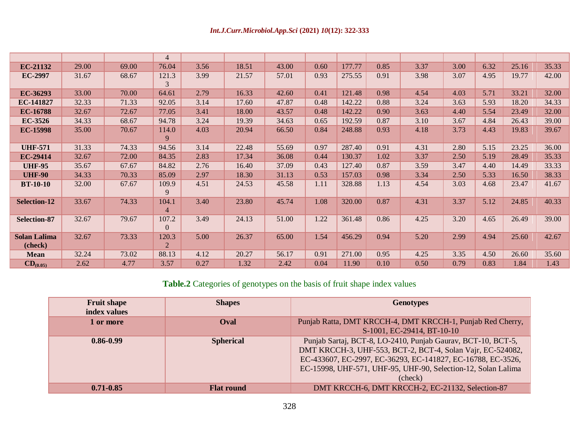|                                |       |       | 4                       |      |       |       |      |        |      |      |      |      |       |       |
|--------------------------------|-------|-------|-------------------------|------|-------|-------|------|--------|------|------|------|------|-------|-------|
| <b>EC-21132</b>                | 29.00 | 69.00 | 76.04                   | 3.56 | 18.51 | 43.00 | 0.60 | 177.77 | 0.85 | 3.37 | 3.00 | 6.32 | 25.16 | 35.33 |
| <b>EC-2997</b>                 | 31.67 | 68.67 | 121.3<br>3              | 3.99 | 21.57 | 57.01 | 0.93 | 275.55 | 0.91 | 3.98 | 3.07 | 4.95 | 19.77 | 42.00 |
| EC-36293                       | 33.00 | 70.00 | 64.61                   | 2.79 | 16.33 | 42.60 | 0.41 | 121.48 | 0.98 | 4.54 | 4.03 | 5.71 | 33.21 | 32.00 |
| EC-141827                      | 32.33 | 71.33 | 92.05                   | 3.14 | 17.60 | 47.87 | 0.48 | 142.22 | 0.88 | 3.24 | 3.63 | 5.93 | 18.20 | 34.33 |
| <b>EC-16788</b>                | 32.67 | 72.67 | 77.05                   | 3.41 | 18.00 | 43.57 | 0.48 | 142.22 | 0.90 | 3.63 | 4.40 | 5.54 | 23.49 | 32.00 |
| $EC-3526$                      | 34.33 | 68.67 | 94.78                   | 3.24 | 19.39 | 34.63 | 0.65 | 192.59 | 0.87 | 3.10 | 3.67 | 4.84 | 26.43 | 39.00 |
| <b>EC-15998</b>                | 35.00 | 70.67 | 114.0<br>9              | 4.03 | 20.94 | 66.50 | 0.84 | 248.88 | 0.93 | 4.18 | 3.73 | 4.43 | 19.83 | 39.67 |
| <b>UHF-571</b>                 | 31.33 | 74.33 | 94.56                   | 3.14 | 22.48 | 55.69 | 0.97 | 287.40 | 0.91 | 4.31 | 2.80 | 5.15 | 23.25 | 36.00 |
| EC-29414                       | 32.67 | 72.00 | 84.35                   | 2.83 | 17.34 | 36.08 | 0.44 | 130.37 | 1.02 | 3.37 | 2.50 | 5.19 | 28.49 | 35.33 |
| <b>UHF-95</b>                  | 35.67 | 67.67 | 84.82                   | 2.76 | 16.40 | 37.09 | 0.43 | 127.40 | 0.87 | 3.59 | 3.47 | 4.40 | 14.49 | 33.33 |
| <b>UHF-90</b>                  | 34.33 | 70.33 | 85.09                   | 2.97 | 18.30 | 31.13 | 0.53 | 157.03 | 0.98 | 3.34 | 2.50 | 5.33 | 16.50 | 38.33 |
| <b>BT-10-10</b>                | 32.00 | 67.67 | 109.9<br>9              | 4.51 | 24.53 | 45.58 | 1.11 | 328.88 | 1.13 | 4.54 | 3.03 | 4.68 | 23.47 | 41.67 |
| <b>Selection-12</b>            | 33.67 | 74.33 | 104.1<br>4              | 3.40 | 23.80 | 45.74 | 1.08 | 320.00 | 0.87 | 4.31 | 3.37 | 5.12 | 24.85 | 40.33 |
| Selection-87                   | 32.67 | 79.67 | 107.2<br>$\Omega$       | 3.49 | 24.13 | 51.00 | 1.22 | 361.48 | 0.86 | 4.25 | 3.20 | 4.65 | 26.49 | 39.00 |
| <b>Solan Lalima</b><br>(check) | 32.67 | 73.33 | 120.3<br>$\overline{2}$ | 5.00 | 26.37 | 65.00 | 1.54 | 456.29 | 0.94 | 5.20 | 2.99 | 4.94 | 25.60 | 42.67 |
| <b>Mean</b>                    | 32.24 | 73.02 | 88.13                   | 4.12 | 20.27 | 56.17 | 0.91 | 271.00 | 0.95 | 4.25 | 3.35 | 4.50 | 26.60 | 35.60 |
| $CD_{(0.05)}$                  | 2.62  | 4.77  | 3.57                    | 0.27 | 1.32  | 2.42  | 0.04 | 11.90  | 0.10 | 0.50 | 0.79 | 0.83 | 1.84  | 1.43  |

**Table.2** Categories of genotypes on the basis of fruit shape index values

| <b>Fruit shape</b><br>index values | <b>Shapes</b>     | <b>Genotypes</b>                                                                                                                                                                                                                                                      |
|------------------------------------|-------------------|-----------------------------------------------------------------------------------------------------------------------------------------------------------------------------------------------------------------------------------------------------------------------|
| 1 or more                          | Oval              | Punjab Ratta, DMT KRCCH-4, DMT KRCCH-1, Punjab Red Cherry,<br>S-1001, EC-29414, BT-10-10                                                                                                                                                                              |
| $0.86 - 0.99$                      | <b>Spherical</b>  | Punjab Sartaj, BCT-8, LO-2410, Punjab Gaurav, BCT-10, BCT-5,<br>DMT KRCCH-3, UHF-553, BCT-2, BCT-4, Solan Vajr, EC-524082,<br>EC-433607, EC-2997, EC-36293, EC-141827, EC-16788, EC-3526,<br>EC-15998, UHF-571, UHF-95, UHF-90, Selection-12, Solan Lalima<br>(check) |
| $0.71 - 0.85$                      | <b>Flat round</b> | DMT KRCCH-6, DMT KRCCH-2, EC-21132, Selection-87                                                                                                                                                                                                                      |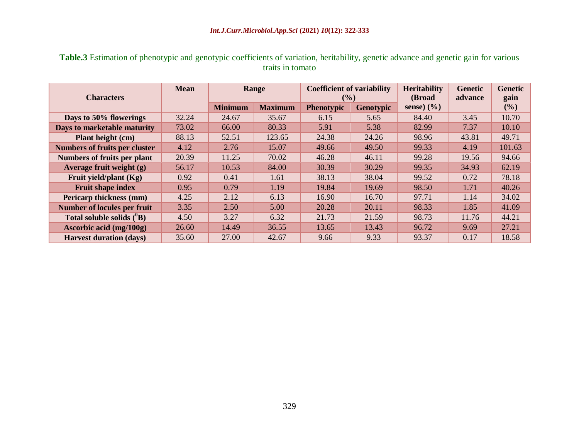# **Table.3** Estimation of phenotypic and genotypic coefficients of variation, heritability, genetic advance and genetic gain for various traits in tomato

|                                      | <b>Mean</b><br>Range |                | <b>Coefficient of variability</b> |                             | <b>Heritability</b> | <b>Genetic</b>                    | <b>Genetic</b> |             |
|--------------------------------------|----------------------|----------------|-----------------------------------|-----------------------------|---------------------|-----------------------------------|----------------|-------------|
| <b>Characters</b>                    |                      | <b>Minimum</b> | <b>Maximum</b>                    | $(\%)$<br><b>Phenotypic</b> | <b>Genotypic</b>    | (Broad)<br>sense) $(\frac{6}{6})$ | advance        | gain<br>(%) |
| Days to 50% flowerings               | 32.24                | 24.67          | 35.67                             | 6.15                        | 5.65                | 84.40                             | 3.45           | 10.70       |
| Days to marketable maturity          | 73.02                | 66.00          | 80.33                             | 5.91                        | 5.38                | 82.99                             | 7.37           | 10.10       |
| Plant height (cm)                    | 88.13                | 52.51          | 123.65                            | 24.38                       | 24.26               | 98.96                             | 43.81          | 49.71       |
| <b>Numbers of fruits per cluster</b> | 4.12                 | 2.76           | 15.07                             | 49.66                       | 49.50               | 99.33                             | 4.19           | 101.63      |
| <b>Numbers of fruits per plant</b>   | 20.39                | 11.25          | 70.02                             | 46.28                       | 46.11               | 99.28                             | 19.56          | 94.66       |
| Average fruit weight (g)             | 56.17                | 10.53          | 84.00                             | 30.39                       | 30.29               | 99.35                             | 34.93          | 62.19       |
| Fruit yield/plant (Kg)               | 0.92                 | 0.41           | 1.61                              | 38.13                       | 38.04               | 99.52                             | 0.72           | 78.18       |
| <b>Fruit shape index</b>             | 0.95                 | 0.79           | 1.19                              | 19.84                       | 19.69               | 98.50                             | 1.71           | 40.26       |
| Pericarp thickness (mm)              | 4.25                 | 2.12           | 6.13                              | 16.90                       | 16.70               | 97.71                             | 1.14           | 34.02       |
| <b>Number of locules per fruit</b>   | 3.35                 | 2.50           | 5.00                              | 20.28                       | 20.11               | 98.33                             | 1.85           | 41.09       |
| Total soluble solids $(^0B)$         | 4.50                 | 3.27           | 6.32                              | 21.73                       | 21.59               | 98.73                             | 11.76          | 44.21       |
| Ascorbic acid (mg/100g)              | 26.60                | 14.49          | 36.55                             | 13.65                       | 13.43               | 96.72                             | 9.69           | 27.21       |
| <b>Harvest duration (days)</b>       | 35.60                | 27.00          | 42.67                             | 9.66                        | 9.33                | 93.37                             | 0.17           | 18.58       |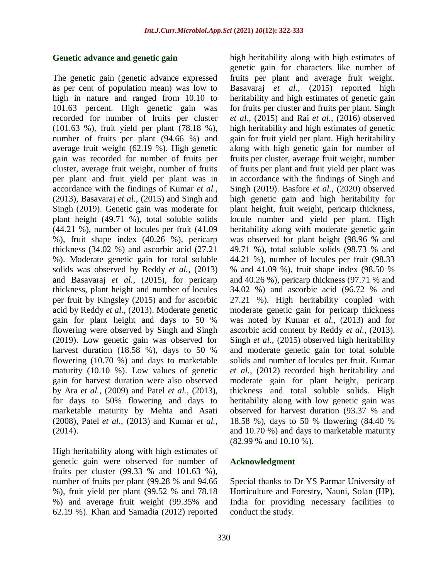#### **Genetic advance and genetic gain**

The genetic gain (genetic advance expressed as per cent of population mean) was low to high in nature and ranged from 10.10 to 101.63 percent. High genetic gain was recorded for number of fruits per cluster (101.63 %), fruit yield per plant (78.18 %), number of fruits per plant (94.66 %) and average fruit weight (62.19 %). High genetic gain was recorded for number of fruits per cluster, average fruit weight, number of fruits per plant and fruit yield per plant was in accordance with the findings of Kumar *et al.,* (2013), Basavaraj *et al.,* (2015) and Singh and Singh (2019). Genetic gain was moderate for plant height (49.71 %), total soluble solids (44.21 %), number of locules per fruit (41.09 %), fruit shape index (40.26 %), pericarp thickness (34.02 %) and ascorbic acid (27.21 %). Moderate genetic gain for total soluble solids was observed by Reddy *et al.,* (2013) and Basavaraj *et al.,* (2015), for pericarp thickness, plant height and number of locules per fruit by Kingsley (2015) and for ascorbic acid by Reddy *et al.,* (2013). Moderate genetic gain for plant height and days to 50 % flowering were observed by Singh and Singh (2019). Low genetic gain was observed for harvest duration (18.58 %), days to 50 % flowering (10.70 %) and days to marketable maturity (10.10 %). Low values of genetic gain for harvest duration were also observed by Ara *et al.,* (2009) and Patel *et al.,* (2013), for days to 50% flowering and days to marketable maturity by Mehta and Asati (2008), Patel *et al.,* (2013) and Kumar *et al.,* (2014).

High heritability along with high estimates of genetic gain were observed for number of fruits per cluster (99.33 % and 101.63 %), number of fruits per plant (99.28 % and 94.66 %), fruit yield per plant (99.52 % and 78.18 %) and average fruit weight (99.35% and 62.19 %). Khan and Samadia (2012) reported

high heritability along with high estimates of genetic gain for characters like number of fruits per plant and average fruit weight. Basavaraj *et al.,* (2015) reported high heritability and high estimates of genetic gain for fruits per cluster and fruits per plant. Singh *et al.,* (2015) and Rai *et al.,* (2016) observed high heritability and high estimates of genetic gain for fruit yield per plant. High heritability along with high genetic gain for number of fruits per cluster, average fruit weight, number of fruits per plant and fruit yield per plant was in accordance with the findings of Singh and Singh (2019). Basfore *et al.,* (2020) observed high genetic gain and high heritability for plant height, fruit weight, pericarp thickness, locule number and yield per plant. High heritability along with moderate genetic gain was observed for plant height (98.96 % and 49.71 %), total soluble solids (98.73 % and 44.21 %), number of locules per fruit (98.33 % and 41.09 %), fruit shape index (98.50 % and 40.26 %), pericarp thickness (97.71 % and 34.02 %) and ascorbic acid (96.72 % and 27.21 %). High heritability coupled with moderate genetic gain for pericarp thickness was noted by Kumar *et al.,* (2013) and for ascorbic acid content by Reddy *et al.,* (2013). Singh *et al.,* (2015) observed high heritability and moderate genetic gain for total soluble solids and number of locules per fruit. Kumar *et al.,* (2012) recorded high heritability and moderate gain for plant height, pericarp thickness and total soluble solids. High heritability along with low genetic gain was observed for harvest duration (93.37 % and 18.58 %), days to 50 % flowering (84.40 % and 10.70 %) and days to marketable maturity (82.99 % and 10.10 %).

#### **Acknowledgment**

Special thanks to Dr YS Parmar University of Horticulture and Forestry, Nauni, Solan (HP), India for providing necessary facilities to conduct the study.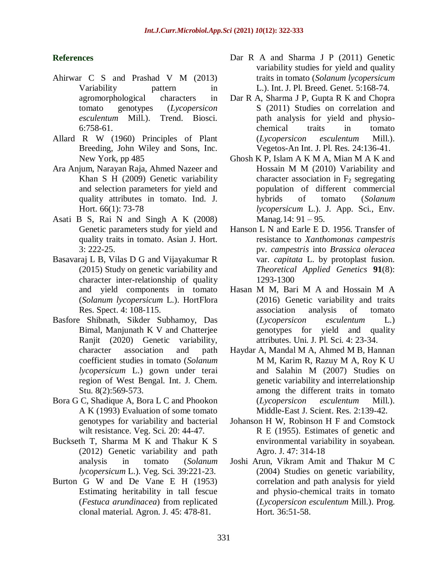# **References**

- Ahirwar C S and Prashad V M (2013) Variability pattern in agromorphological characters in tomato genotypes (*Lycopersicon esculentum* Mill.). Trend. Biosci*.*  6:758-61.
- Allard R W (1960) Principles of Plant Breeding, John Wiley and Sons, Inc. New York, pp 485
- Ara Anjum, Narayan Raja, Ahmed Nazeer and Khan S H (2009) Genetic variability and selection parameters for yield and quality attributes in tomato. Ind. J. Hort. 66(1): 73-78
- Asati B S, Rai N and Singh A K (2008) Genetic parameters study for yield and quality traits in tomato. Asian J. Hort*.*  3: 222-25.
- Basavaraj L B, Vilas D G and Vijayakumar R (2015) Study on genetic variability and character inter-relationship of quality and yield components in tomato (*Solanum lycopersicum* L.). HortFlora Res. Spect. 4: 108-115.
- Basfore Shibnath, Sikder Subhamoy, Das Bimal, Manjunath K V and Chatterjee Ranjit (2020) Genetic variability, character association and path coefficient studies in tomato (*Solanum lycopersicum* L.) gown under terai region of West Bengal. Int. J. Chem. Stu. 8(2):569-573.
- Bora G C, Shadique A, Bora L C and Phookon A K (1993) Evaluation of some tomato genotypes for variability and bacterial wilt resistance. Veg. Sci. 20: 44-47.
- Buckseth T, Sharma M K and Thakur K S (2012) Genetic variability and path analysis in tomato (*Solanum lycopersicum* L.). Veg. Sci*.* 39:221-23.
- Burton G W and De Vane E H (1953) Estimating heritability in tall fescue (*Festuca arundinacea*) from replicated clonal material. Agron. J. 45: 478-81.
- Dar R A and Sharma J P (2011) Genetic variability studies for yield and quality traits in tomato (*Solanum lycopersicum* L.). Int. J. Pl. Breed. Genet. 5:168-74.
- Dar R A, Sharma J P, Gupta R K and Chopra S (2011) Studies on correlation and path analysis for yield and physiochemical traits in tomato (*Lycopersicon esculentum* Mill.). Vegetos-An Int. J. Pl. Res*.* 24:136-41.
- Ghosh K P, Islam A K M A, Mian M A K and Hossain M M (2010) Variability and character association in  $F_2$  segregating population of different commercial hybrids of tomato (*Solanum lycopersicum* L.). J. App. Sci., Env. Manag*.*14: 91 – 95.
- Hanson L N and Earle E D. 1956. Transfer of resistance to *Xanthomonas campestris* pv. *campestris* into *Brassica oleracea*  var. *capitata* L. by protoplast fusion. *Theoretical Applied Genetics* **91**(8): 1293-1300
- Hasan M M, Bari M A and Hossain M A (2016) Genetic variability and traits association analysis of tomato (*Lycopersicon esculentum* L.) genotypes for yield and quality attributes. Uni. J. Pl. Sci. 4: 23-34.
- Haydar A, Mandal M A, Ahmed M B, Hannan M M, Karim R, Razuy M A, Roy K U and Salahin M (2007) Studies on genetic variability and interrelationship among the different traits in tomato (*Lycopersicon esculentum* Mill.). Middle-East J. Scient. Res*.* 2:139-42.
- Johanson H W, Robinson H F and Comstock R E (1955). Estimates of genetic and environmental variability in soyabean. Agro. J. 47: 314-18
- Joshi Arun, Vikram Amit and Thakur M C (2004) Studies on genetic variability, correlation and path analysis for yield and physio-chemical traits in tomato (*Lycopersicon esculentum* Mill.). Prog. Hort*.* 36:51-58.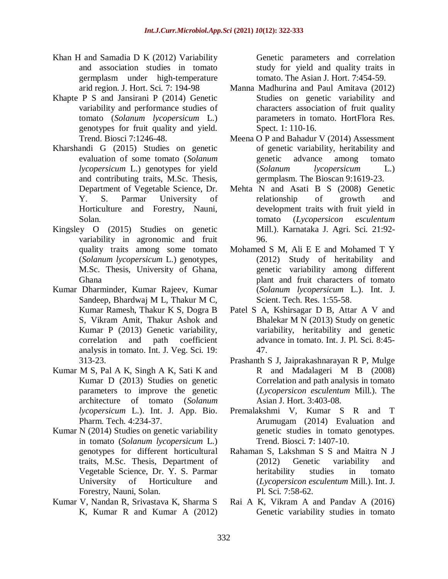- Khan H and Samadia D K (2012) Variability and association studies in tomato germplasm under high-temperature arid region. J. Hort. Sci*.* 7: 194-98
- Khapte P S and Jansirani P (2014) Genetic variability and performance studies of tomato (*Solanum lycopersicum* L.) genotypes for fruit quality and yield. Trend. Biosci 7:1246-48.
- Kharshandi G (2015) Studies on genetic evaluation of some tomato (*Solanum lycopersicum* L.) genotypes for yield and contributing traits, M.Sc. Thesis, Department of Vegetable Science, Dr. Y. S. Parmar University of Horticulture and Forestry, Nauni, Solan.
- Kingsley O (2015) Studies on genetic variability in agronomic and fruit quality traits among some tomato (*Solanum lycopersicum* L.) genotypes, M.Sc. Thesis, University of Ghana, Ghana
- Kumar Dharminder, Kumar Rajeev, Kumar Sandeep, Bhardwaj M L, Thakur M C, Kumar Ramesh, Thakur K S, Dogra B S, Vikram Amit, Thakur Ashok and Kumar P (2013) Genetic variability, correlation and path coefficient analysis in tomato. Int. J. Veg. Sci. 19: 313-23.
- Kumar M S, Pal A K, Singh A K, Sati K and Kumar D (2013) Studies on genetic parameters to improve the genetic architecture of tomato (*Solanum lycopersicum* L.). Int. J. App. Bio. Pharm. Tech. 4:234-37.
- Kumar N (2014) Studies on genetic variability in tomato (*Solanum lycopersicum* L.) genotypes for different horticultural traits, M.Sc. Thesis, Department of Vegetable Science, Dr. Y. S. Parmar University of Horticulture and Forestry, Nauni, Solan.
- Kumar V, Nandan R, Srivastava K, Sharma S K, Kumar R and Kumar A (2012)

Genetic parameters and correlation study for yield and quality traits in tomato. The Asian J. Hort. 7:454-59.

- Manna Madhurina and Paul Amitava (2012) Studies on genetic variability and characters association of fruit quality parameters in tomato. HortFlora Res. Spect*.* 1: 110-16.
- Meena O P and Bahadur V (2014) Assessment of genetic variability, heritability and genetic advance among tomato (*Solanum lycopersicum* L.) germplasm. The Bioscan 9:1619-23.
- Mehta N and Asati B S (2008) Genetic relationship of growth and development traits with fruit yield in tomato (*Lycopersicon esculentum* Mill.). Karnataka J. Agri. Sci*.* 21:92- 96.
- Mohamed S M, Ali E E and Mohamed T Y (2012) Study of heritability and genetic variability among different plant and fruit characters of tomato (*Solanum lycopersicum* L.). Int. J. Scient. Tech. Res*.* 1:55-58.
- Patel S A, Kshirsagar D B, Attar A V and Bhalekar M N (2013) Study on genetic variability, heritability and genetic advance in tomato. Int. J. Pl. Sci*.* 8:45- 47.
- Prashanth S J, Jaiprakashnarayan R P, Mulge R and Madalageri M B (2008) Correlation and path analysis in tomato (*Lycopersicon esculentum* Mill.). The Asian J. Hort*.* 3:403-08.
- Premalakshmi V, Kumar S R and T Arumugam (2014) Evaluation and genetic studies in tomato genotypes. Trend. Biosci. **7**: 1407-10.
- Rahaman S, Lakshman S S and Maitra N J (2012) Genetic variability and heritability studies in tomato (*Lycopersicon esculentum* Mill.). Int. J. Pl. Sci. 7:58-62.
- Rai A K, Vikram A and Pandav A (2016) Genetic variability studies in tomato